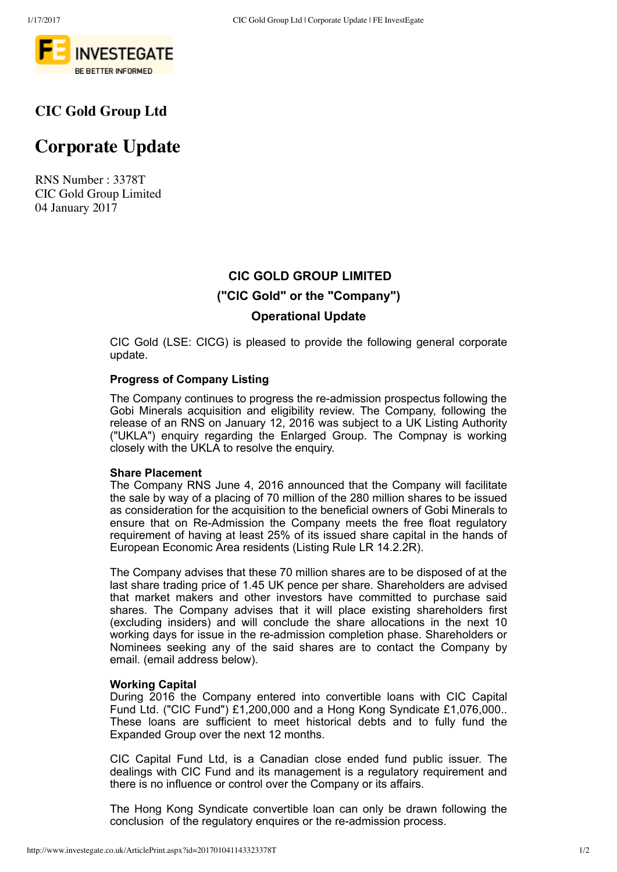

### **CIC Gold Group Ltd**

# **Corporate Update**

RNS Number : 3378T CIC Gold Group Limited 04 January 2017

## **CIC GOLD GROUP LIMITED ("CIC Gold" or the "Company") Operational Update**

CIC Gold (LSE: CICG) is pleased to provide the following general corporate update.

#### **Progress of Company Listing**

The Company continues to progress the re-admission prospectus following the Gobi Minerals acquisition and eligibility review. The Company, following the release of an RNS on January 12, 2016 was subject to a UK Listing Authority ("UKLA") enquiry regarding the Enlarged Group. The Compnay is working closely with the UKLA to resolve the enquiry.

#### **Share Placement**

The Company RNS June 4, 2016 announced that the Company will facilitate the sale by way of a placing of 70 million of the 280 million shares to be issued as consideration for the acquisition to the beneficial owners of Gobi Minerals to ensure that on Re-Admission the Company meets the free float regulatory requirement of having at least 25% of its issued share capital in the hands of European Economic Area residents (Listing Rule LR 14.2.2R).

The Company advises that these 70 million shares are to be disposed of at the last share trading price of 1.45 UK pence per share. Shareholders are advised that market makers and other investors have committed to purchase said shares. The Company advises that it will place existing shareholders first (excluding insiders) and will conclude the share allocations in the next 10 working days for issue in the re-admission completion phase. Shareholders or Nominees seeking any of the said shares are to contact the Company by email. (email address below).

#### **Working Capital**

During 2016 the Company entered into convertible loans with CIC Capital Fund Ltd. ("CIC Fund") £1,200,000 and a Hong Kong Syndicate £1,076,000.. These loans are sufficient to meet historical debts and to fully fund the Expanded Group over the next 12 months.

CIC Capital Fund Ltd, is a Canadian close ended fund public issuer. The dealings with CIC Fund and its management is a regulatory requirement and there is no influence or control over the Company or its affairs.

The Hong Kong Syndicate convertible loan can only be drawn following the conclusion of the regulatory enquires or the re-admission process.